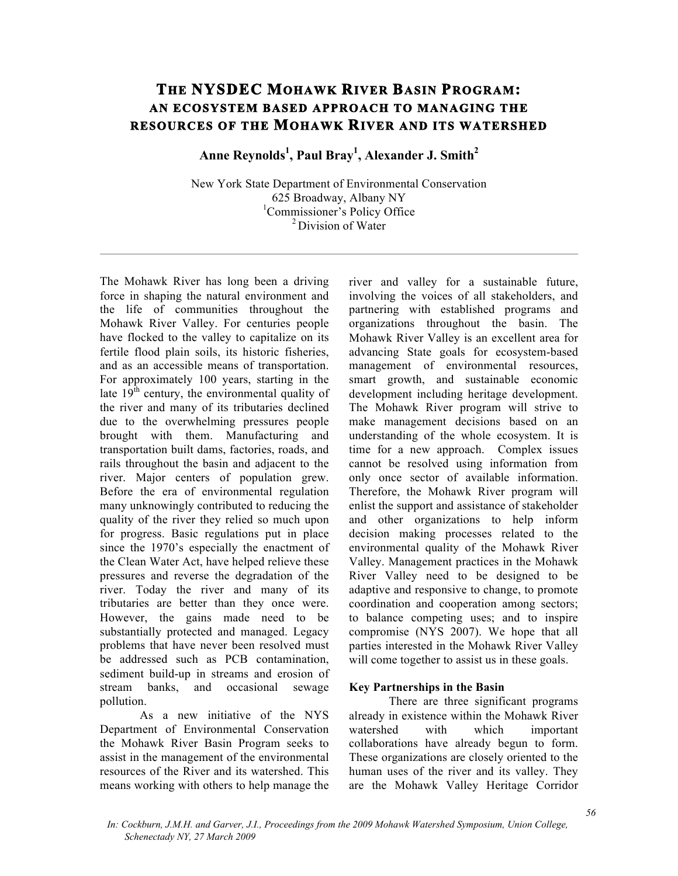# **THE NYSDEC MOHAWK RIVER BASIN PROGRAM: AN ECOSYSTEM BASED APPROACH TO MANAGING THE RESOURCES OF THE MOHAWK RIVER AND ITS WATERSHED**

**Anne Reynolds<sup>1</sup> , Paul Bray1 , Alexander J. Smith2**

New York State Department of Environmental Conservation 625 Broadway, Albany NY <sup>1</sup>Commissioner's Policy Office <sup>2</sup> Division of Water

The Mohawk River has long been a driving force in shaping the natural environment and the life of communities throughout the Mohawk River Valley. For centuries people have flocked to the valley to capitalize on its fertile flood plain soils, its historic fisheries, and as an accessible means of transportation. For approximately 100 years, starting in the late  $19<sup>th</sup>$  century, the environmental quality of the river and many of its tributaries declined due to the overwhelming pressures people brought with them. Manufacturing and transportation built dams, factories, roads, and rails throughout the basin and adjacent to the river. Major centers of population grew. Before the era of environmental regulation many unknowingly contributed to reducing the quality of the river they relied so much upon for progress. Basic regulations put in place since the 1970's especially the enactment of the Clean Water Act, have helped relieve these pressures and reverse the degradation of the river. Today the river and many of its tributaries are better than they once were. However, the gains made need to be substantially protected and managed. Legacy problems that have never been resolved must be addressed such as PCB contamination, sediment build-up in streams and erosion of stream banks, and occasional sewage pollution.

As a new initiative of the NYS Department of Environmental Conservation the Mohawk River Basin Program seeks to assist in the management of the environmental resources of the River and its watershed. This means working with others to help manage the river and valley for a sustainable future, involving the voices of all stakeholders, and partnering with established programs and organizations throughout the basin. The Mohawk River Valley is an excellent area for advancing State goals for ecosystem-based management of environmental resources, smart growth, and sustainable economic development including heritage development. The Mohawk River program will strive to make management decisions based on an understanding of the whole ecosystem. It is time for a new approach. Complex issues cannot be resolved using information from only once sector of available information. Therefore, the Mohawk River program will enlist the support and assistance of stakeholder and other organizations to help inform decision making processes related to the environmental quality of the Mohawk River Valley. Management practices in the Mohawk River Valley need to be designed to be adaptive and responsive to change, to promote coordination and cooperation among sectors; to balance competing uses; and to inspire compromise (NYS 2007). We hope that all parties interested in the Mohawk River Valley will come together to assist us in these goals.

## **Key Partnerships in the Basin**

There are three significant programs already in existence within the Mohawk River watershed with which important collaborations have already begun to form. These organizations are closely oriented to the human uses of the river and its valley. They are the Mohawk Valley Heritage Corridor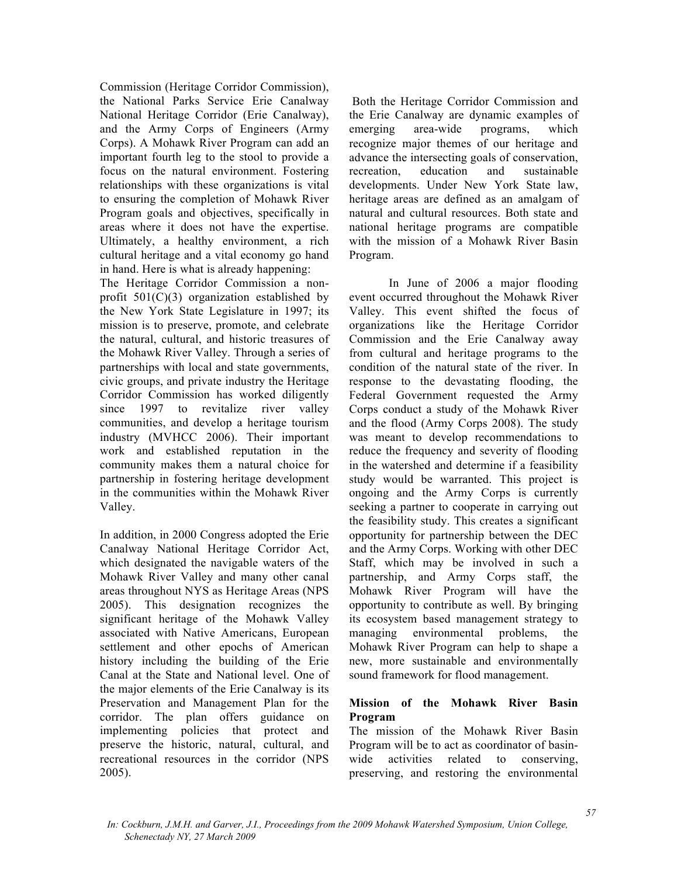Commission (Heritage Corridor Commission), the National Parks Service Erie Canalway National Heritage Corridor (Erie Canalway), and the Army Corps of Engineers (Army Corps). A Mohawk River Program can add an important fourth leg to the stool to provide a focus on the natural environment. Fostering relationships with these organizations is vital to ensuring the completion of Mohawk River Program goals and objectives, specifically in areas where it does not have the expertise. Ultimately, a healthy environment, a rich cultural heritage and a vital economy go hand in hand. Here is what is already happening:

The Heritage Corridor Commission a nonprofit  $501(C)(3)$  organization established by the New York State Legislature in 1997; its mission is to preserve, promote, and celebrate the natural, cultural, and historic treasures of the Mohawk River Valley. Through a series of partnerships with local and state governments, civic groups, and private industry the Heritage Corridor Commission has worked diligently since 1997 to revitalize river valley communities, and develop a heritage tourism industry (MVHCC 2006). Their important work and established reputation in the community makes them a natural choice for partnership in fostering heritage development in the communities within the Mohawk River Valley.

In addition, in 2000 Congress adopted the Erie Canalway National Heritage Corridor Act, which designated the navigable waters of the Mohawk River Valley and many other canal areas throughout NYS as Heritage Areas (NPS 2005). This designation recognizes the significant heritage of the Mohawk Valley associated with Native Americans, European settlement and other epochs of American history including the building of the Erie Canal at the State and National level. One of the major elements of the Erie Canalway is its Preservation and Management Plan for the corridor. The plan offers guidance on implementing policies that protect and preserve the historic, natural, cultural, and recreational resources in the corridor (NPS 2005).

 Both the Heritage Corridor Commission and the Erie Canalway are dynamic examples of emerging area-wide programs, which recognize major themes of our heritage and advance the intersecting goals of conservation, recreation, education and sustainable developments. Under New York State law, heritage areas are defined as an amalgam of natural and cultural resources. Both state and national heritage programs are compatible with the mission of a Mohawk River Basin Program.

 In June of 2006 a major flooding event occurred throughout the Mohawk River Valley. This event shifted the focus of organizations like the Heritage Corridor Commission and the Erie Canalway away from cultural and heritage programs to the condition of the natural state of the river. In response to the devastating flooding, the Federal Government requested the Army Corps conduct a study of the Mohawk River and the flood (Army Corps 2008). The study was meant to develop recommendations to reduce the frequency and severity of flooding in the watershed and determine if a feasibility study would be warranted. This project is ongoing and the Army Corps is currently seeking a partner to cooperate in carrying out the feasibility study. This creates a significant opportunity for partnership between the DEC and the Army Corps. Working with other DEC Staff, which may be involved in such a partnership, and Army Corps staff, the Mohawk River Program will have the opportunity to contribute as well. By bringing its ecosystem based management strategy to managing environmental problems, the Mohawk River Program can help to shape a new, more sustainable and environmentally sound framework for flood management.

## **Mission of the Mohawk River Basin Program**

The mission of the Mohawk River Basin Program will be to act as coordinator of basinwide activities related to conserving, preserving, and restoring the environmental